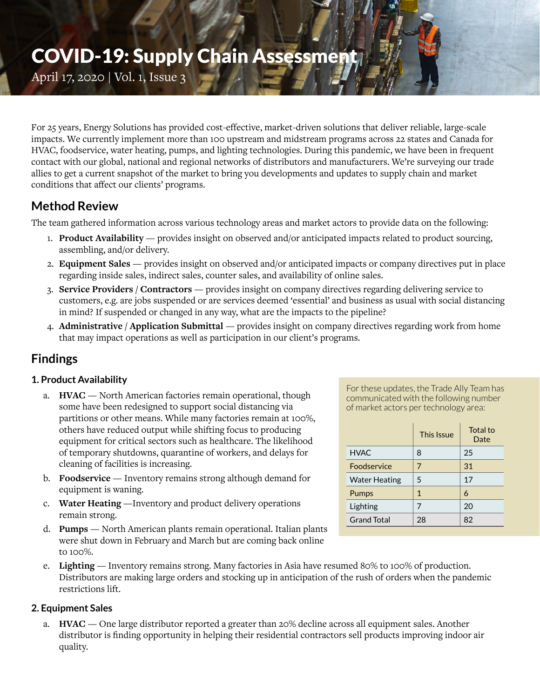# COVID-19: Supply Chain Assessment

April 17, 2020 | Vol. 1, Issue 3

For 25 years, Energy Solutions has provided cost-effective, market-driven solutions that deliver reliable, large-scale impacts. We currently implement more than 100 upstream and midstream programs across 22 states and Canada for HVAC, foodservice, water heating, pumps, and lighting technologies. During this pandemic, we have been in frequent contact with our global, national and regional networks of distributors and manufacturers. We're surveying our trade allies to get a current snapshot of the market to bring you developments and updates to supply chain and market conditions that affect our clients' programs.

### **Method Review**

The team gathered information across various technology areas and market actors to provide data on the following:

- 1. **Product Availability** provides insight on observed and/or anticipated impacts related to product sourcing, assembling, and/or delivery.
- 2. **Equipment Sales** provides insight on observed and/or anticipated impacts or company directives put in place regarding inside sales, indirect sales, counter sales, and availability of online sales.
- 3. **Service Providers / Contractors** provides insight on company directives regarding delivering service to customers, e.g. are jobs suspended or are services deemed 'essential' and business as usual with social distancing in mind? If suspended or changed in any way, what are the impacts to the pipeline?
- 4. **Administrative / Application Submittal** provides insight on company directives regarding work from home that may impact operations as well as participation in our client's programs.

## **Findings**

#### **1. Product Availability**

- a. **HVAC** North American factories remain operational, though some have been redesigned to support social distancing via partitions or other means. While many factories remain at 100%, others have reduced output while shifting focus to producing equipment for critical sectors such as healthcare. The likelihood of temporary shutdowns, quarantine of workers, and delays for cleaning of facilities is increasing.
- b. **Foodservice** Inventory remains strong although demand for equipment is waning.
- c. **Water Heating** —Inventory and product delivery operations remain strong.
- d. **Pumps** North American plants remain operational. Italian plants were shut down in February and March but are coming back online to 100%.

For these updates, the Trade Ally Team has communicated with the following number of market actors per technology area:

|                      | This Issue | Total to<br>Date |
|----------------------|------------|------------------|
| <b>HVAC</b>          | 8          | 25               |
| Foodservice          | 7          | 31               |
| <b>Water Heating</b> | 5          | 17               |
| Pumps                | 1          | 6                |
| Lighting             | 7          | 20               |
| <b>Grand Total</b>   | 28         | 82               |

e. **Lighting** — Inventory remains strong. Many factories in Asia have resumed 80% to 100% of production. Distributors are making large orders and stocking up in anticipation of the rush of orders when the pandemic restrictions lift.

#### **2. Equipment Sales**

a. **HVAC** — One large distributor reported a greater than 20% decline across all equipment sales. Another distributor is finding opportunity in helping their residential contractors sell products improving indoor air quality.